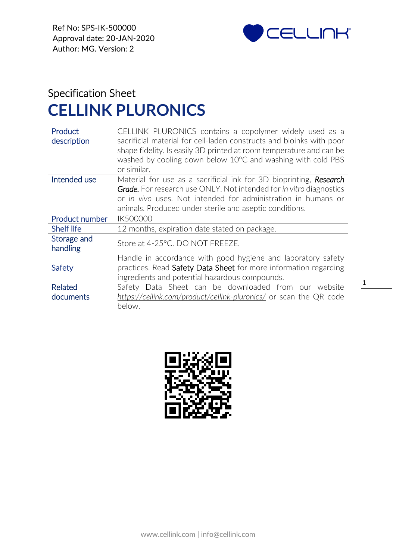

## Specification Sheet **CELLINK PLURONICS**

| Product<br>description  | CELLINK PLURONICS contains a copolymer widely used as a<br>sacrificial material for cell-laden constructs and bioinks with poor<br>shape fidelity. Is easily 3D printed at room temperature and can be<br>washed by cooling down below 10°C and washing with cold PBS<br>or similar. |  |
|-------------------------|--------------------------------------------------------------------------------------------------------------------------------------------------------------------------------------------------------------------------------------------------------------------------------------|--|
| Intended use            | Material for use as a sacrificial ink for 3D bioprinting, <b>Research</b><br><b>Grade.</b> For research use ONLY. Not intended for in vitro diagnostics<br>or in vivo uses. Not intended for administration in humans or<br>animals. Produced under sterile and aseptic conditions.  |  |
| Product number          | IK500000                                                                                                                                                                                                                                                                             |  |
| <b>Shelf life</b>       | 12 months, expiration date stated on package.                                                                                                                                                                                                                                        |  |
| Storage and<br>handling | Store at 4-25°C. DO NOT FREEZE.                                                                                                                                                                                                                                                      |  |
| Safety                  | Handle in accordance with good hygiene and laboratory safety<br>practices. Read Safety Data Sheet for more information regarding<br>ingredients and potential hazardous compounds.                                                                                                   |  |
| Related<br>documents    | Safety Data Sheet can be downloaded from our website<br>https://cellink.com/product/cellink-pluronics/ or scan the QR code<br>below.                                                                                                                                                 |  |